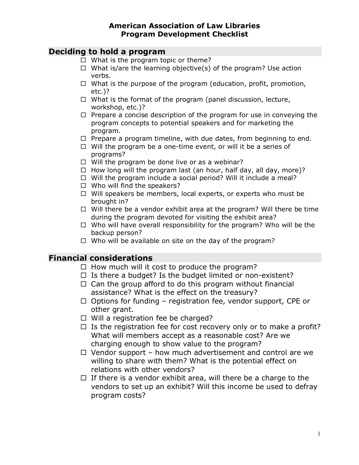#### **American Association of Law Libraries Program Development Checklist**

### **Deciding to hold a program**

- $\Box$  What is the program topic or theme?
- $\Box$  What is/are the learning objective(s) of the program? Use action verbs.
- $\Box$  What is the purpose of the program (education, profit, promotion, etc.)?
- $\Box$  What is the format of the program (panel discussion, lecture, workshop, etc.)?
- $\Box$  Prepare a concise description of the program for use in conveying the program concepts to potential speakers and for marketing the program.
- $\Box$  Prepare a program timeline, with due dates, from beginning to end.
- $\Box$  Will the program be a one-time event, or will it be a series of programs?
- $\Box$  Will the program be done live or as a webinar?
- $\Box$  How long will the program last (an hour, half day, all day, more)?
- $\Box$  Will the program include a social period? Will it include a meal?
- $\Box$  Who will find the speakers?
- $\Box$  Will speakers be members, local experts, or experts who must be brought in?
- $\Box$  Will there be a vendor exhibit area at the program? Will there be time during the program devoted for visiting the exhibit area?
- $\Box$  Who will have overall responsibility for the program? Who will be the backup person?
- $\Box$  Who will be available on site on the day of the program?

### **Financial considerations**

- $\Box$  How much will it cost to produce the program?
- $\Box$  Is there a budget? Is the budget limited or non-existent?
- $\Box$  Can the group afford to do this program without financial assistance? What is the effect on the treasury?
- $\Box$  Options for funding registration fee, vendor support, CPE or other grant.
- $\Box$  Will a registration fee be charged?
- $\Box$  Is the registration fee for cost recovery only or to make a profit? What will members accept as a reasonable cost? Are we charging enough to show value to the program?
- $\Box$  Vendor support how much advertisement and control are we willing to share with them? What is the potential effect on relations with other vendors?
- $\Box$  If there is a vendor exhibit area, will there be a charge to the vendors to set up an exhibit? Will this income be used to defray program costs?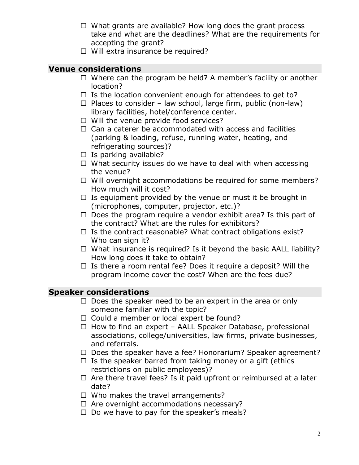- $\Box$  What grants are available? How long does the grant process take and what are the deadlines? What are the requirements for accepting the grant?
- □ Will extra insurance be required?

### **Venue considerations**

- $\Box$  Where can the program be held? A member's facility or another location?
- $\Box$  Is the location convenient enough for attendees to get to?
- $\Box$  Places to consider law school, large firm, public (non-law) library facilities, hotel/conference center.
- $\Box$  Will the venue provide food services?
- $\Box$  Can a caterer be accommodated with access and facilities (parking & loading, refuse, running water, heating, and refrigerating sources)?
- $\Box$  Is parking available?
- $\Box$  What security issues do we have to deal with when accessing the venue?
- $\Box$  Will overnight accommodations be required for some members? How much will it cost?
- $\Box$  Is equipment provided by the venue or must it be brought in (microphones, computer, projector, etc.)?
- $\Box$  Does the program require a vendor exhibit area? Is this part of the contract? What are the rules for exhibitors?
- $\Box$  Is the contract reasonable? What contract obligations exist? Who can sign it?
- $\Box$  What insurance is required? Is it beyond the basic AALL liability? How long does it take to obtain?
- $\Box$  Is there a room rental fee? Does it require a deposit? Will the program income cover the cost? When are the fees due?

## **Speaker considerations**

- $\Box$  Does the speaker need to be an expert in the area or only someone familiar with the topic?
- $\Box$  Could a member or local expert be found?
- $\Box$  How to find an expert AALL Speaker Database, professional associations, college/universities, law firms, private businesses, and referrals.
- $\Box$  Does the speaker have a fee? Honorarium? Speaker agreement?
- $\Box$  Is the speaker barred from taking money or a gift (ethics restrictions on public employees)?
- $\Box$  Are there travel fees? Is it paid upfront or reimbursed at a later date?
- $\Box$  Who makes the travel arrangements?
- $\Box$  Are overnight accommodations necessary?
- $\Box$  Do we have to pay for the speaker's meals?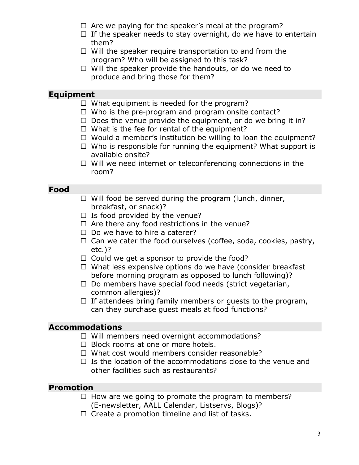- $\Box$  Are we paying for the speaker's meal at the program?
- $\Box$  If the speaker needs to stay overnight, do we have to entertain them?
- $\Box$  Will the speaker require transportation to and from the program? Who will be assigned to this task?
- $\Box$  Will the speaker provide the handouts, or do we need to produce and bring those for them?

## **Equipment**

- $\Box$  What equipment is needed for the program?
- $\Box$  Who is the pre-program and program onsite contact?
- $\Box$  Does the venue provide the equipment, or do we bring it in?
- $\Box$  What is the fee for rental of the equipment?
- $\Box$  Would a member's institution be willing to loan the equipment?
- $\Box$  Who is responsible for running the equipment? What support is available onsite?
- $\Box$  Will we need internet or teleconferencing connections in the room?

#### **Food**

- $\Box$  Will food be served during the program (lunch, dinner, breakfast, or snack)?
- $\Box$  Is food provided by the venue?
- $\Box$  Are there any food restrictions in the venue?
- $\Box$  Do we have to hire a caterer?
- $\Box$  Can we cater the food ourselves (coffee, soda, cookies, pastry, etc.)?
- $\Box$  Could we get a sponsor to provide the food?
- $\Box$  What less expensive options do we have (consider breakfast) before morning program as opposed to lunch following)?
- $\Box$  Do members have special food needs (strict vegetarian, common allergies)?
- $\Box$  If attendees bring family members or quests to the program, can they purchase guest meals at food functions?

### **Accommodations**

- $\Box$  Will members need overnight accommodations?
- $\Box$  Block rooms at one or more hotels.
- $\Box$  What cost would members consider reasonable?
- $\Box$  Is the location of the accommodations close to the venue and other facilities such as restaurants?

### **Promotion**

- $\Box$  How are we going to promote the program to members? (E-newsletter, AALL Calendar, Listservs, Blogs)?
- $\Box$  Create a promotion timeline and list of tasks.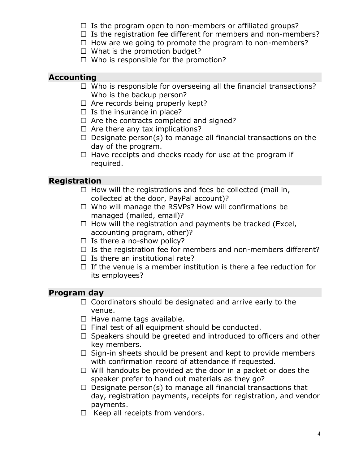- $\Box$  Is the program open to non-members or affiliated groups?
- $\Box$  Is the registration fee different for members and non-members?
- $\Box$  How are we going to promote the program to non-members?
- $\Box$  What is the promotion budget?
- $\Box$  Who is responsible for the promotion?

## **Accounting**

- $\Box$  Who is responsible for overseeing all the financial transactions? Who is the backup person?
- $\Box$  Are records being properly kept?
- $\Box$  Is the insurance in place?
- $\Box$  Are the contracts completed and signed?
- $\Box$  Are there any tax implications?
- $\Box$  Designate person(s) to manage all financial transactions on the day of the program.
- $\Box$  Have receipts and checks ready for use at the program if required.

# **Registration**

- $\Box$  How will the registrations and fees be collected (mail in, collected at the door, PayPal account)?
- $\Box$  Who will manage the RSVPs? How will confirmations be managed (mailed, email)?
- $\Box$  How will the registration and payments be tracked (Excel, accounting program, other)?
- $\Box$  Is there a no-show policy?
- $\Box$  Is the registration fee for members and non-members different?
- $\Box$  Is there an institutional rate?
- $\Box$  If the venue is a member institution is there a fee reduction for its employees?

# **Program day**

- $\Box$  Coordinators should be designated and arrive early to the venue.
- $\Box$  Have name tags available.
- $\Box$  Final test of all equipment should be conducted.
- $\Box$  Speakers should be greeted and introduced to officers and other key members.
- $\Box$  Sign-in sheets should be present and kept to provide members with confirmation record of attendance if requested.
- $\Box$  Will handouts be provided at the door in a packet or does the speaker prefer to hand out materials as they go?
- $\Box$  Designate person(s) to manage all financial transactions that day, registration payments, receipts for registration, and vendor payments.
- $\Box$  Keep all receipts from vendors.